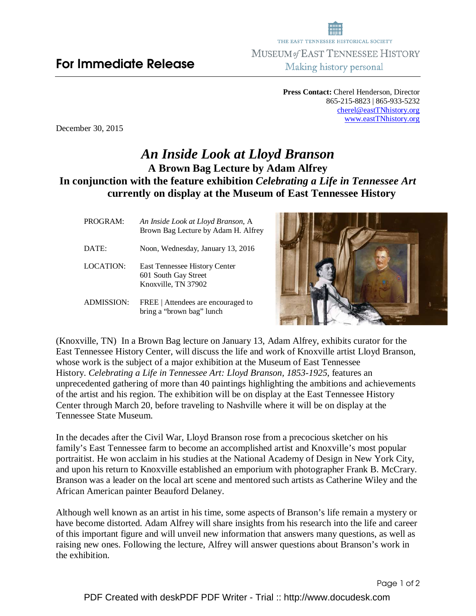**Press Contact:** Cherel Henderson, Director 865-215-8823 | 865-933-5232 cherel@eastTNhistory.org www.eastTNhistory.org

December 30, 2015

## *An Inside Look at Lloyd Branson* **A Brown Bag Lecture by Adam Alfrey In conjunction with the feature exhibition** *Celebrating a Life in Tennessee Art*  **currently on display at the Museum of East Tennessee History**

| PROGRAM:   | An Inside Look at Lloyd Branson, A<br>Brown Bag Lecture by Adam H. Alfrey           |
|------------|-------------------------------------------------------------------------------------|
| DATE:      | Noon, Wednesday, January 13, 2016                                                   |
| LOCATION:  | <b>East Tennessee History Center</b><br>601 South Gay Street<br>Knoxville, TN 37902 |
| ADMISSION: | FREE   Attendees are encouraged to<br>bring a "brown bag" lunch                     |



(Knoxville, TN) In a Brown Bag lecture on January 13, Adam Alfrey, exhibits curator for the East Tennessee History Center, will discuss the life and work of Knoxville artist Lloyd Branson, whose work is the subject of a major exhibition at the Museum of East Tennessee History. *Celebrating a Life in Tennessee Art: Lloyd Branson, 1853-1925*, features an unprecedented gathering of more than 40 paintings highlighting the ambitions and achievements of the artist and his region. The exhibition will be on display at the East Tennessee History Center through March 20, before traveling to Nashville where it will be on display at the Tennessee State Museum.

In the decades after the Civil War, Lloyd Branson rose from a precocious sketcher on his family's East Tennessee farm to become an accomplished artist and Knoxville's most popular portraitist. He won acclaim in his studies at the National Academy of Design in New York City, and upon his return to Knoxville established an emporium with photographer Frank B. McCrary. Branson was a leader on the local art scene and mentored such artists as Catherine Wiley and the African American painter Beauford Delaney.

Although well known as an artist in his time, some aspects of Branson's life remain a mystery or have become distorted. Adam Alfrey will share insights from his research into the life and career of this important figure and will unveil new information that answers many questions, as well as raising new ones. Following the lecture, Alfrey will answer questions about Branson's work in the exhibition.